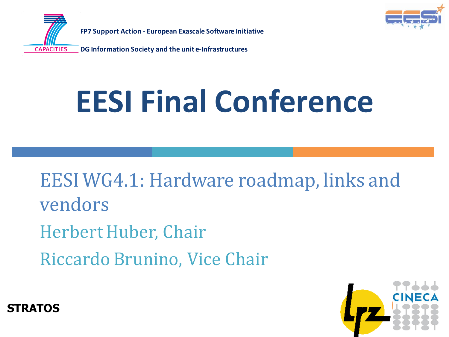

**FP7 Support Action - European Exascale Software Initiative**

**DG Information Society and the unit e-Infrastructures CAPACITIES** 

# **EESI Final Conference**

EESI WG4.1: Hardware roadmap, links and vendors Herbert Huber, Chair Riccardo Brunino, Vice Chair



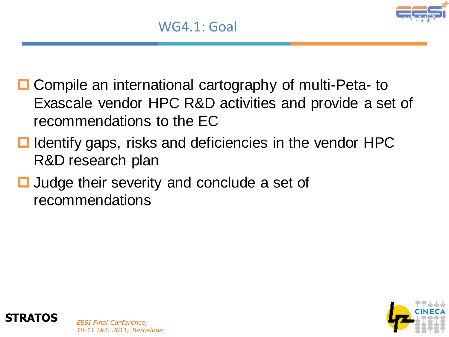- **□ Compile an international cartography of multi-Peta- to** Exascale vendor HPC R&D activities and provide a set of recommendations to the EC
- $\blacksquare$  Identify gaps, risks and deficiencies in the vendor HPC R&D research plan
- **□** Judge their severity and conclude a set of recommendations



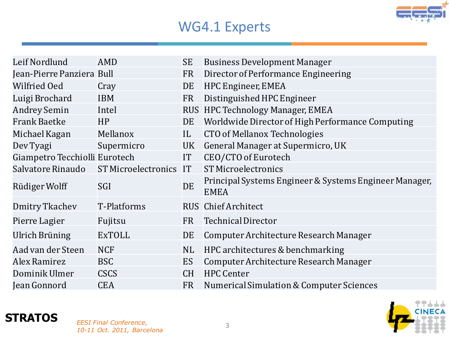

#### WG4.1 Experts

| Leif Nordlund                 | AMD                        | SE        | <b>Business Development Manager</b>                                   |
|-------------------------------|----------------------------|-----------|-----------------------------------------------------------------------|
| Jean-Pierre Panziera Bull     |                            | FR        | Director of Performance Engineering                                   |
| <b>Wilfried Oed</b>           | Cray                       | DE        | HPC Engineer, EMEA                                                    |
| Luigi Brochard                | <b>IBM</b>                 | FR        | Distinguished HPC Engineer                                            |
| <b>Andrey Semin</b>           | Intel                      |           | RUS HPC Technology Manager, EMEA                                      |
| <b>Frank Baetke</b>           | HP                         | DE        | Worldwide Director of High Performance Computing                      |
| Michael Kagan                 | Mellanox                   | IL        | <b>CTO of Mellanox Technologies</b>                                   |
| Dev Tyagi                     | Supermicro                 | UK        | General Manager at Supermicro, UK                                     |
| Giampetro Tecchiolli Eurotech |                            | IT        | CEO/CTO of Eurotech                                                   |
| Salvatore Rinaudo             | <b>ST Microelectronics</b> | <b>IT</b> | <b>ST Microelectronics</b>                                            |
| Rüdiger Wolff                 | SGI                        | DE        | Principal Systems Engineer & Systems Engineer Manager,<br><b>EMEA</b> |
| Dmitry Tkachev                | <b>T-Platforms</b>         |           | <b>RUS</b> Chief Architect                                            |
| Pierre Lagier                 | Fujitsu                    | <b>FR</b> | <b>Technical Director</b>                                             |
| Ulrich Brüning                | <b>ExTOLL</b>              | DE        | Computer Architecture Research Manager                                |
| Aad van der Steen             | <b>NCF</b>                 | NL        | HPC architectures & benchmarking                                      |
| <b>Alex Ramirez</b>           | <b>BSC</b>                 | ES        | Computer Architecture Research Manager                                |
| Dominik Ulmer                 | <b>CSCS</b>                | <b>CH</b> | <b>HPC Center</b>                                                     |
| Jean Gonnord                  | <b>CEA</b>                 | <b>FR</b> | Numerical Simulation & Computer Sciences                              |

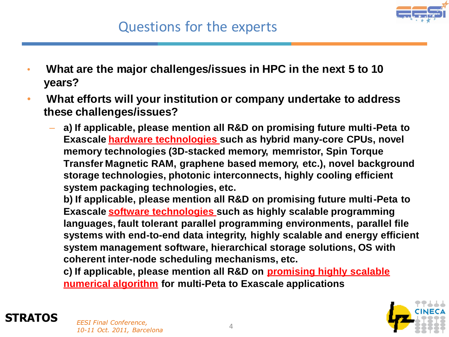

- **What are the major challenges/issues in HPC in the next 5 to 10 years?**
- **What efforts will your institution or company undertake to address these challenges/issues?**
	- **a) If applicable, please mention all R&D on promising future multi-Peta to Exascale hardware technologies such as hybrid many-core CPUs, novel memory technologies (3D-stacked memory, memristor, Spin Torque Transfer Magnetic RAM, graphene based memory, etc.), novel background storage technologies, photonic interconnects, highly cooling efficient system packaging technologies, etc.**

**b) If applicable, please mention all R&D on promising future multi-Peta to Exascale software technologies such as highly scalable programming languages, fault tolerant parallel programming environments, parallel file systems with end-to-end data integrity, highly scalable and energy efficient system management software, hierarchical storage solutions, OS with coherent inter-node scheduling mechanisms, etc.**

**c) If applicable, please mention all R&D on promising highly scalable numerical algorithm for multi-Peta to Exascale applications**



#### **STRATOS** *EESI Final Conference,*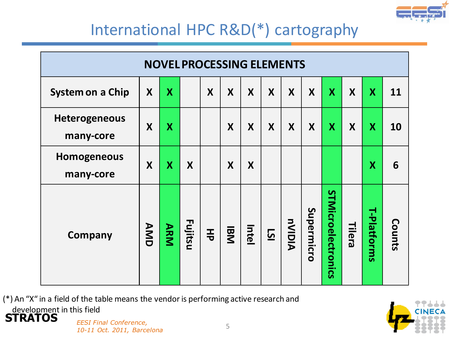

|                                   | <b>NOVEL PROCESSING ELEMENTS</b> |            |         |   |            |       |           |               |            |                    |              |                         |        |  |  |
|-----------------------------------|----------------------------------|------------|---------|---|------------|-------|-----------|---------------|------------|--------------------|--------------|-------------------------|--------|--|--|
| System on a Chip                  | X                                | X          |         | X | X          | X     | X         | X             | X          | $\mathbf{X}$       | $\mathsf{X}$ | $\overline{\mathbf{X}}$ | 11     |  |  |
| <b>Heterogeneous</b><br>many-core | X                                | X          |         |   | X          | X     | X         | X             | X          | X                  | X            | X                       | 10     |  |  |
| <b>Homogeneous</b><br>many-core   | X                                | X          | X       |   | X          | X     |           |               |            |                    |              | $\overline{\mathbf{X}}$ | 6      |  |  |
| Company                           | AMD                              | <b>ARM</b> | Fujitsu | 玉 | <b>IBM</b> | Intel | <u>is</u> | <b>AIOIVn</b> | Supermicro | STMicroelectronics | Tilera       | T-Platforms             | Counts |  |  |

(\*) An "X" in a field of the table means the vendor is performing active research and development in this field



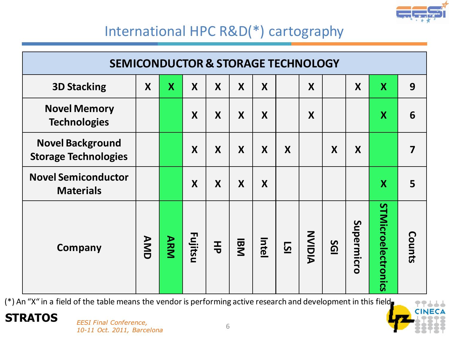

| <b>SEMICONDUCTOR &amp; STORAGE TECHNOLOGY</b>          |     |            |         |                  |            |       |           |       |           |            |                           |        |
|--------------------------------------------------------|-----|------------|---------|------------------|------------|-------|-----------|-------|-----------|------------|---------------------------|--------|
| <b>3D Stacking</b>                                     | X   | X          | X       | X                | X          | X     |           | X     |           | X          | $\boldsymbol{X}$          | 9      |
| <b>Novel Memory</b><br><b>Technologies</b>             |     |            | X       | $\boldsymbol{X}$ | X          | X     |           | X     |           |            | $\boldsymbol{\mathsf{X}}$ | 6      |
| <b>Novel Background</b><br><b>Storage Technologies</b> |     |            | X       | X                | X          | X     | X         |       | X         | X          |                           | 7      |
| <b>Novel Semiconductor</b><br><b>Materials</b>         |     |            | X       | X                | X          | X     |           |       |           |            | X                         | 5      |
| Company                                                | AMD | <b>ARM</b> | Fujitsu | 玉                | <b>IBM</b> | Intel | <u>is</u> | NIOIN | <b>SG</b> | Supermicro | STMicroelectronics        | Counts |

(\*) An "X" in a field of the table means the vendor is performing active research and development in this field

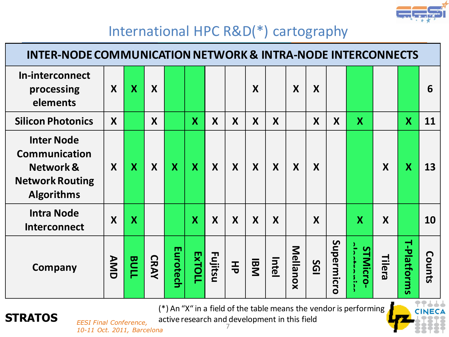

|                                                                                                       | <b>INTER-NODE COMMUNICATION NETWORK &amp; INTRA-NODE INTERCONNECTS</b> |             |                  |          |                           |         |   |                  |       |          |           |                |                           |        |                    |        |
|-------------------------------------------------------------------------------------------------------|------------------------------------------------------------------------|-------------|------------------|----------|---------------------------|---------|---|------------------|-------|----------|-----------|----------------|---------------------------|--------|--------------------|--------|
| In-interconnect<br>processing<br>elements                                                             | X                                                                      | <b>X</b>    | X                |          |                           |         |   | X                |       | X        | X         |                |                           |        |                    | 6      |
| <b>Silicon Photonics</b>                                                                              | X                                                                      |             | X                |          | $\boldsymbol{\mathsf{X}}$ | X       | X | $\boldsymbol{X}$ | X     |          | X         | X              | $\boldsymbol{X}$          |        | <b>X</b>           | 11     |
| <b>Inter Node</b><br><b>Communication</b><br>Network &<br><b>Network Routing</b><br><b>Algorithms</b> | X                                                                      | <b>X</b>    | $\boldsymbol{X}$ | X        | X                         | X       | X | X                | X     | X        | X         |                |                           | X      | X                  | 13     |
| <b>Intra Node</b><br>Interconnect                                                                     | $\overline{\mathsf{X}}$                                                | X           |                  |          | $\overline{\mathsf{X}}$   | X       | X | X                | X     |          | X         |                | $\boldsymbol{\mathsf{X}}$ | X      |                    | 10     |
| <b>Company</b>                                                                                        | AMD                                                                    | <b>BULL</b> | <b>CRAY</b>      | Eurotech | <b>EXTOLL</b>             | Fujitsu | 玉 | IBM              | Intel | Mellanox | <u>SG</u> | Supermicr<br>Ö | <b>STMicro</b>            | Tilera | <b>T-Platforms</b> | Counts |

(\*) An "X" in a field of the table means the vendor is performing active research and development in this field



**STRATOS** *EESI Final Conference, 10-11 Oct. 2011, Barcelona*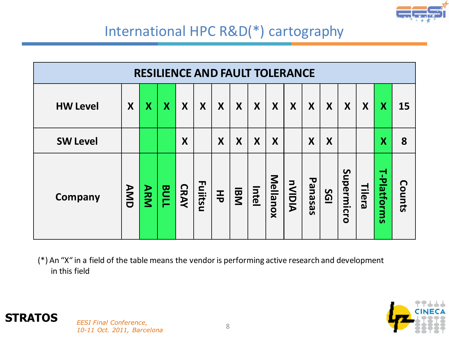

|                 | <b>RESILIENCE AND FAULT TOLERANCE</b> |                  |                         |             |         |                  |                  |       |          |               |                  |            |            |        |                         |        |
|-----------------|---------------------------------------|------------------|-------------------------|-------------|---------|------------------|------------------|-------|----------|---------------|------------------|------------|------------|--------|-------------------------|--------|
| <b>HW Level</b> | X                                     | $\boldsymbol{X}$ | $\overline{\mathbf{X}}$ | X           | X       | X                | X                | X     | X        | X             | X                | X          | X          | X      | $\boldsymbol{X}$        | 15     |
| <b>SW Level</b> |                                       |                  |                         | X           |         | $\boldsymbol{X}$ | $\boldsymbol{X}$ | X     | X        |               | $\boldsymbol{X}$ | X          |            |        | $\overline{\mathsf{X}}$ | 8      |
| <b>Company</b>  | AMD                                   | <b>ARM</b>       | BULL                    | <b>CRAY</b> | Fuiitsu | 玉                | <b>IBM</b>       | Intel | Mellanox | <b>AIOIVn</b> | Panasas          | <b>195</b> | Supermicro | Tilera | T-Platforms             | Counts |

(\*) An "X" in a field of the table means the vendor is performing active research and development in this field



#### **STRATOS** *EESI Final Conference,*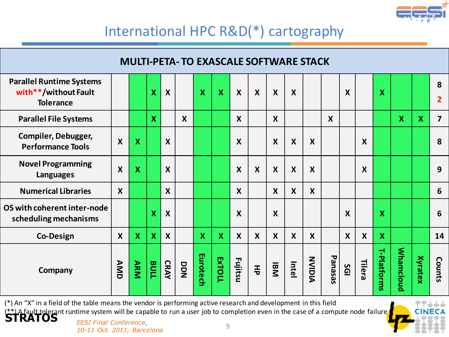

|                                                                             |                           |                           |             |                           | <b>MULTI-PETA- TO EXASCALE SOFTWARE STACK</b> |          |                           |                           |                           |                           |                           |                           |                  |                  |                  |                           |                  |                           |                         |
|-----------------------------------------------------------------------------|---------------------------|---------------------------|-------------|---------------------------|-----------------------------------------------|----------|---------------------------|---------------------------|---------------------------|---------------------------|---------------------------|---------------------------|------------------|------------------|------------------|---------------------------|------------------|---------------------------|-------------------------|
| <b>Parallel Runtime Systems</b><br>with**/without Fault<br><b>Tolerance</b> |                           |                           | X           | $\boldsymbol{X}$          |                                               | X        | $\boldsymbol{\mathsf{X}}$ | $\boldsymbol{X}$          | $\boldsymbol{X}$          | $\boldsymbol{X}$          | $\boldsymbol{X}$          |                           |                  | $\boldsymbol{X}$ |                  | X                         |                  |                           | 8<br>$\overline{2}$     |
| <b>Parallel File Systems</b>                                                |                           |                           | X           |                           | X                                             |          |                           | $\boldsymbol{X}$          |                           | $\boldsymbol{X}$          |                           |                           | $\boldsymbol{X}$ |                  |                  |                           | X                | $\boldsymbol{\mathsf{X}}$ | $\overline{\mathbf{z}}$ |
| <b>Compiler, Debugger,</b><br><b>Performance Tools</b>                      | $\boldsymbol{\mathsf{X}}$ | $\overline{\mathsf{X}}$   |             | $\boldsymbol{\mathsf{X}}$ |                                               |          |                           | X                         |                           | $\boldsymbol{X}$          | $\boldsymbol{X}$          | $\boldsymbol{\mathsf{X}}$ |                  |                  | $\boldsymbol{X}$ |                           |                  |                           | 8                       |
| <b>Novel Programming</b><br><b>Languages</b>                                | $\boldsymbol{\mathsf{X}}$ | $\boldsymbol{\mathsf{X}}$ |             | $\boldsymbol{\mathsf{X}}$ |                                               |          |                           | X                         | $\boldsymbol{\mathsf{X}}$ | $\boldsymbol{X}$          | $\boldsymbol{\mathsf{X}}$ | $\boldsymbol{\mathsf{X}}$ |                  |                  | X                |                           |                  |                           | 9                       |
| <b>Numerical Libraries</b>                                                  | $\boldsymbol{X}$          |                           |             | $\boldsymbol{X}$          |                                               |          |                           | $\boldsymbol{X}$          |                           | $\boldsymbol{X}$          | $\boldsymbol{X}$          | $\boldsymbol{X}$          |                  |                  |                  |                           |                  |                           | 6                       |
| OS with coherent inter-node<br>scheduling mechanisms                        |                           |                           | X           | $\boldsymbol{\mathsf{X}}$ |                                               |          |                           | $\boldsymbol{\mathsf{X}}$ |                           | $\boldsymbol{\mathsf{X}}$ |                           |                           |                  | $\boldsymbol{X}$ |                  | X                         |                  |                           | 6                       |
| <b>Co-Design</b>                                                            | $\boldsymbol{X}$          | $\boldsymbol{\mathsf{X}}$ | $\mathbf x$ | $\boldsymbol{\mathsf{X}}$ |                                               | X        | $\boldsymbol{\mathsf{X}}$ | $\boldsymbol{X}$          | $\boldsymbol{X}$          | $\boldsymbol{X}$          | $\boldsymbol{X}$          | $\boldsymbol{X}$          |                  | $\boldsymbol{X}$ | $\boldsymbol{X}$ | $\boldsymbol{\mathsf{X}}$ |                  |                           | 14                      |
| Company                                                                     | AMD                       | <b>ARM</b>                | BULL        | <b>CRAY</b>               | DDN                                           | Eurotech | <b>ExTOLL</b>             | Fujitsu                   | 玉                         | <b>IBM</b>                | Intel                     | NUIVIN                    | Panasas          | <u>ios</u>       | Tilera           | T-Platforms               | <b>Whamcloud</b> | <b>Xyratex</b>            | Counts                  |

(\*\*) A fault tolerant runtime system will be capable to run a user job to completion even in the case of a compute node failure<br>**STRATOS** *EESI Final Conference,* (\*) An "X" in a field of the table means the vendor is performing active research and development in this field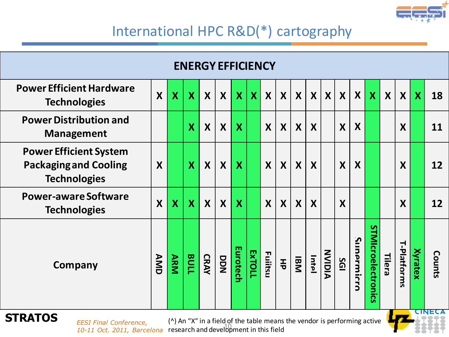

| <b>ENERGY EFFICIENCY</b>                                                                                                    |                  |                         |                         |                  |                  |              |               |                  |                  |                  |                  |                  |                  |                  |                                |                  |                  |                         |               |
|-----------------------------------------------------------------------------------------------------------------------------|------------------|-------------------------|-------------------------|------------------|------------------|--------------|---------------|------------------|------------------|------------------|------------------|------------------|------------------|------------------|--------------------------------|------------------|------------------|-------------------------|---------------|
| <b>Power Efficient Hardware</b><br><b>Technologies</b>                                                                      | $\boldsymbol{X}$ | $\overline{\mathsf{X}}$ | $\overline{\mathsf{X}}$ | $\boldsymbol{X}$ | $\boldsymbol{X}$ | $\mathbf x$  | $\mathbf{X}$  | $\boldsymbol{X}$ | $\boldsymbol{X}$ | $\boldsymbol{X}$ | $\boldsymbol{X}$ | $\boldsymbol{X}$ | $\boldsymbol{X}$ | $\boldsymbol{X}$ | $\boldsymbol{X}$               | $\boldsymbol{X}$ | X                | $\overline{\mathbf{X}}$ | 18            |
| <b>Power Distribution and</b><br><b>Management</b>                                                                          |                  |                         | $\overline{\mathsf{X}}$ | $\boldsymbol{X}$ | $\boldsymbol{X}$ | X            |               | X                | X                | $\boldsymbol{X}$ | $\boldsymbol{X}$ |                  | X                | X                |                                |                  | $\boldsymbol{X}$ |                         | 11            |
| <b>Power Efficient System</b><br><b>Packaging and Cooling</b><br><b>Technologies</b>                                        | X                |                         | $\overline{\mathsf{X}}$ | $\boldsymbol{X}$ | $\boldsymbol{X}$ | $\mathbf{X}$ |               | X                | $\boldsymbol{X}$ | $\boldsymbol{X}$ | $\boldsymbol{X}$ |                  | X                | X                |                                |                  | X                |                         | 12            |
| <b>Power-aware Software</b><br><b>Technologies</b>                                                                          | X                | $\boldsymbol{X}$        | $\overline{\mathbf{X}}$ | $\boldsymbol{X}$ | X                | X            |               | X                | X                | $\boldsymbol{X}$ | $\boldsymbol{X}$ |                  | $\boldsymbol{X}$ |                  |                                |                  | X                |                         | 12            |
| Company                                                                                                                     | AMD              | <b>ARM</b>              | BULL                    | <b>CRAY</b>      | DDN              | Eurotech     | <b>EXTOLL</b> | Fuiitsu          | 풍                | <b>IBM</b>       | Intel            | NVIDIA           | <b>SGI</b>       | Sunarmicr<br>Ć   | <b>STMIcroelectronic</b><br>ÜΑ | Tilera           | T-Platforms      | Xyratex                 | <b>Counts</b> |
| <b>STRATOS</b><br>(^) An "X" in a field of the table means the vendor is performing active<br><b>EESI Final Conference,</b> |                  |                         |                         |                  |                  |              |               |                  |                  |                  |                  |                  |                  | <b>CINEC</b>     |                                |                  |                  |                         |               |

*10-11 Oct. 2011, Barcelona* 10

(^) An "X" in a field of the table means the vendor is performing active research and development in this field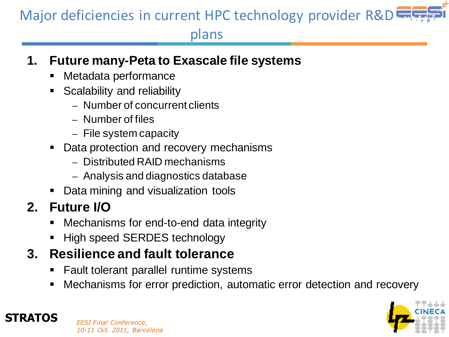## Major deficiencies in current HPC technology provider R&D

#### plans

#### **1. Future many-Peta to Exascale file systems**

- Metadata performance
- Scalability and reliability
	- Number of concurrent clients
	- Number of files
	- $-$  File system capacity
- Data protection and recovery mechanisms
	- Distributed RAID mechanisms
	- Analysis and diagnostics database
- Data mining and visualization tools

#### **2. Future I/O**

- Mechanisms for end-to-end data integrity
- High speed SERDES technology

#### **3. Resilience and fault tolerance**

- Fault tolerant parallel runtime systems
- Mechanisms for error prediction, automatic error detection and recovery



#### **STRATOS** *EESI Final Conference, 10-11 Oct. 2011, Barcelona*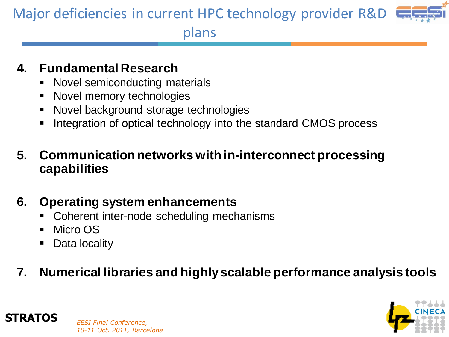# Major deficiencies in current HPC technology provider R&D



plans

#### **4. Fundamental Research**

- Novel semiconducting materials
- Novel memory technologies
- Novel background storage technologies
- Integration of optical technology into the standard CMOS process

#### **5. Communication networks with in-interconnect processing capabilities**

#### **6. Operating system enhancements**

- Coherent inter-node scheduling mechanisms
- Micro OS
- Data locality

#### **7. Numerical libraries and highly scalable performance analysis tools**



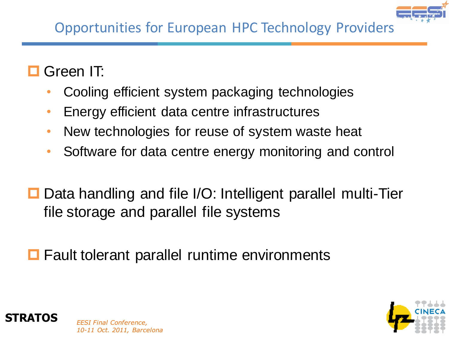

#### Green IT:

- Cooling efficient system packaging technologies
- Energy efficient data centre infrastructures
- New technologies for reuse of system waste heat
- Software for data centre energy monitoring and control
- $\Box$  Data handling and file I/O: Intelligent parallel multi-Tier file storage and parallel file systems
- $\blacksquare$  Fault tolerant parallel runtime environments